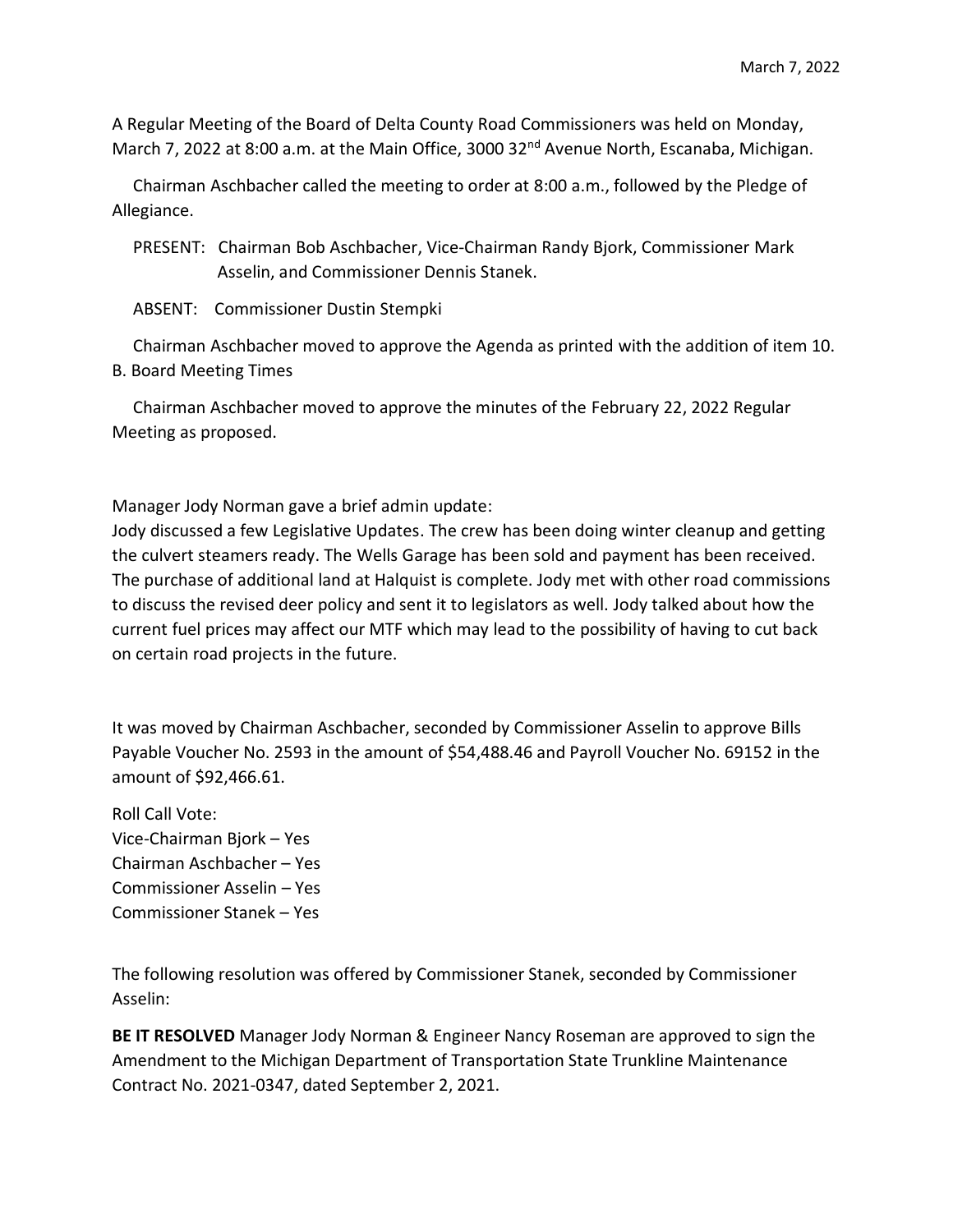A Regular Meeting of the Board of Delta County Road Commissioners was held on Monday, March 7, 2022 at 8:00 a.m. at the Main Office, 3000 32<sup>nd</sup> Avenue North, Escanaba, Michigan.

 Chairman Aschbacher called the meeting to order at 8:00 a.m., followed by the Pledge of Allegiance.

- PRESENT: Chairman Bob Aschbacher, Vice-Chairman Randy Bjork, Commissioner Mark Asselin, and Commissioner Dennis Stanek.
- ABSENT: Commissioner Dustin Stempki

 Chairman Aschbacher moved to approve the Agenda as printed with the addition of item 10. B. Board Meeting Times

 Chairman Aschbacher moved to approve the minutes of the February 22, 2022 Regular Meeting as proposed.

Manager Jody Norman gave a brief admin update:

Jody discussed a few Legislative Updates. The crew has been doing winter cleanup and getting the culvert steamers ready. The Wells Garage has been sold and payment has been received. The purchase of additional land at Halquist is complete. Jody met with other road commissions to discuss the revised deer policy and sent it to legislators as well. Jody talked about how the current fuel prices may affect our MTF which may lead to the possibility of having to cut back on certain road projects in the future.

It was moved by Chairman Aschbacher, seconded by Commissioner Asselin to approve Bills Payable Voucher No. 2593 in the amount of \$54,488.46 and Payroll Voucher No. 69152 in the amount of \$92,466.61.

Roll Call Vote: Vice-Chairman Bjork – Yes Chairman Aschbacher – Yes Commissioner Asselin – Yes Commissioner Stanek – Yes

The following resolution was offered by Commissioner Stanek, seconded by Commissioner Asselin:

**BE IT RESOLVED** Manager Jody Norman & Engineer Nancy Roseman are approved to sign the Amendment to the Michigan Department of Transportation State Trunkline Maintenance Contract No. 2021-0347, dated September 2, 2021.